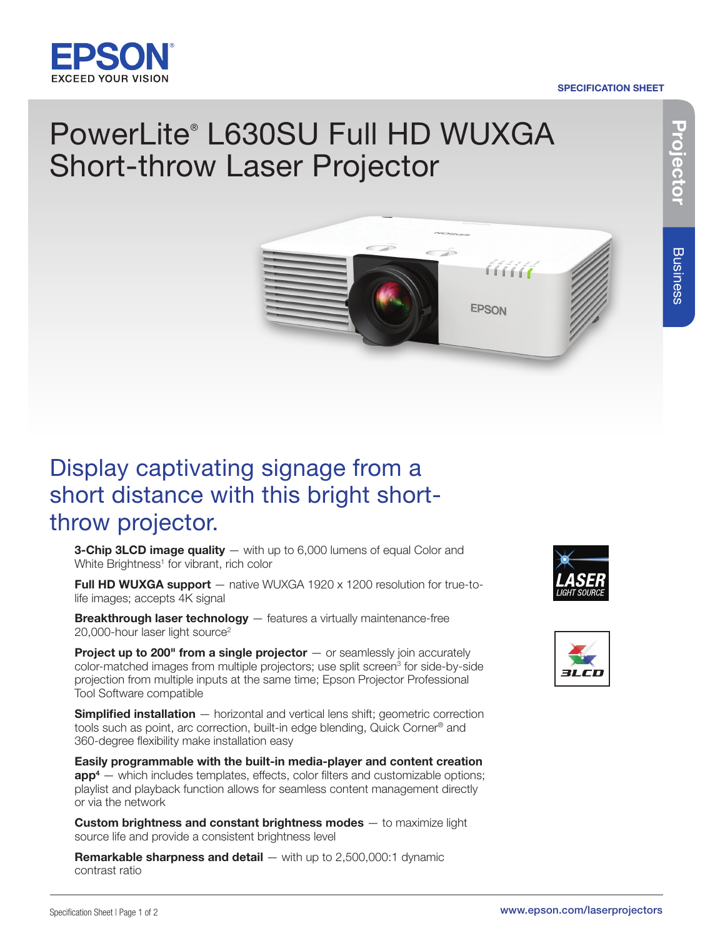

## SPECIFICATION SHEET

# PowerLite® L630SU Full HD WUXGA Short-throw Laser Projector



## Display captivating signage from a short distance with this bright shortthrow projector.

**3-Chip 3LCD image quality**  $-$  with up to 6,000 lumens of equal Color and White Brightness<sup>1</sup> for vibrant, rich color

Full HD WUXGA support - native WUXGA 1920 x 1200 resolution for true-tolife images; accepts 4K signal

**Breakthrough laser technology** - features a virtually maintenance-free 20,000-hour laser light source<sup>2</sup>

**Project up to 200" from a single projector**  $-$  or seamlessly join accurately color-matched images from multiple projectors; use split screen<sup>3</sup> for side-by-side projection from multiple inputs at the same time; Epson Projector Professional Tool Software compatible

**Simplified installation** – horizontal and vertical lens shift; geometric correction tools such as point, arc correction, built-in edge blending, Quick Corner® and 360-degree flexibility make installation easy

Easily programmable with the built-in media-player and content creation  $app<sup>4</sup>$  — which includes templates, effects, color filters and customizable options; playlist and playback function allows for seamless content management directly or via the network

**Custom brightness and constant brightness modes** - to maximize light source life and provide a consistent brightness level

**Remarkable sharpness and detail**  $-$  **with up to 2,500,000:1 dynamic** contrast ratio